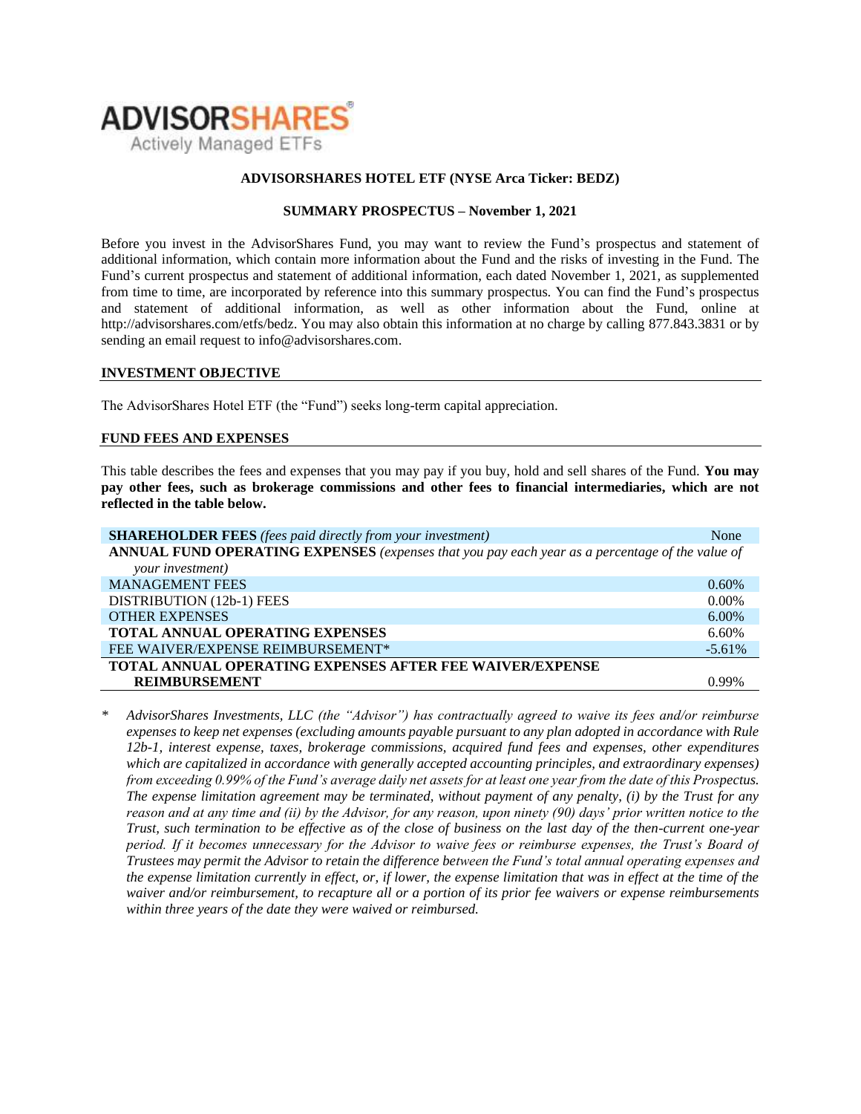

## **ADVISORSHARES HOTEL ETF (NYSE Arca Ticker: BEDZ)**

## **SUMMARY PROSPECTUS – November 1, 2021**

Before you invest in the AdvisorShares Fund, you may want to review the Fund's prospectus and statement of additional information, which contain more information about the Fund and the risks of investing in the Fund. The Fund's [current prospectus and statement of additional information,](https://www.sec.gov/ix?doc=/Archives/edgar/data/1408970/000182912621013072/ck0001408970-20210630.htm) each dated November 1, 2021, as supplemented from time to time, are incorporated by reference into this summary prospectus. You can find the Fund's prospectus and statement of additional information, as well as other information about the Fund, online at http://advisorshares.com/etfs/bedz. You may also obtain this information at no charge by calling 877.843.3831 or by sending an email request to info@advisorshares.com.

### **INVESTMENT OBJECTIVE**

The AdvisorShares Hotel ETF (the "Fund") seeks long-term capital appreciation.

### **FUND FEES AND EXPENSES**

This table describes the fees and expenses that you may pay if you buy, hold and sell shares of the Fund. **You may pay other fees, such as brokerage commissions and other fees to financial intermediaries, which are not reflected in the table below.**

| <b>SHAREHOLDER FEES</b> (fees paid directly from your investment)                               | None      |  |
|-------------------------------------------------------------------------------------------------|-----------|--|
| ANNUAL FUND OPERATING EXPENSES (expenses that you pay each year as a percentage of the value of |           |  |
| your investment)                                                                                |           |  |
| <b>MANAGEMENT FEES</b>                                                                          | $0.60\%$  |  |
| DISTRIBUTION (12b-1) FEES                                                                       | $0.00\%$  |  |
| <b>OTHER EXPENSES</b>                                                                           | $6.00\%$  |  |
| <b>TOTAL ANNUAL OPERATING EXPENSES</b>                                                          | 6.60%     |  |
| FEE WAIVER/EXPENSE REIMBURSEMENT*                                                               | $-5.61\%$ |  |
| <b>TOTAL ANNUAL OPERATING EXPENSES AFTER FEE WAIVER/EXPENSE</b>                                 |           |  |
| <b>REIMBURSEMENT</b>                                                                            | 0.99%     |  |

*\* AdvisorShares Investments, LLC (the "Advisor") has contractually agreed to waive its fees and/or reimburse expenses to keep net expenses (excluding amounts payable pursuant to any plan adopted in accordance with Rule 12b-1, interest expense, taxes, brokerage commissions, acquired fund fees and expenses, other expenditures which are capitalized in accordance with generally accepted accounting principles, and extraordinary expenses) from exceeding 0.99% of the Fund's average daily net assets for at least one year from the date of this Prospectus. The expense limitation agreement may be terminated, without payment of any penalty, (i) by the Trust for any reason and at any time and (ii) by the Advisor, for any reason, upon ninety (90) days' prior written notice to the Trust, such termination to be effective as of the close of business on the last day of the then-current one-year period. If it becomes unnecessary for the Advisor to waive fees or reimburse expenses, the Trust's Board of Trustees may permit the Advisor to retain the difference between the Fund's total annual operating expenses and the expense limitation currently in effect, or, if lower, the expense limitation that was in effect at the time of the waiver and/or reimbursement, to recapture all or a portion of its prior fee waivers or expense reimbursements within three years of the date they were waived or reimbursed.*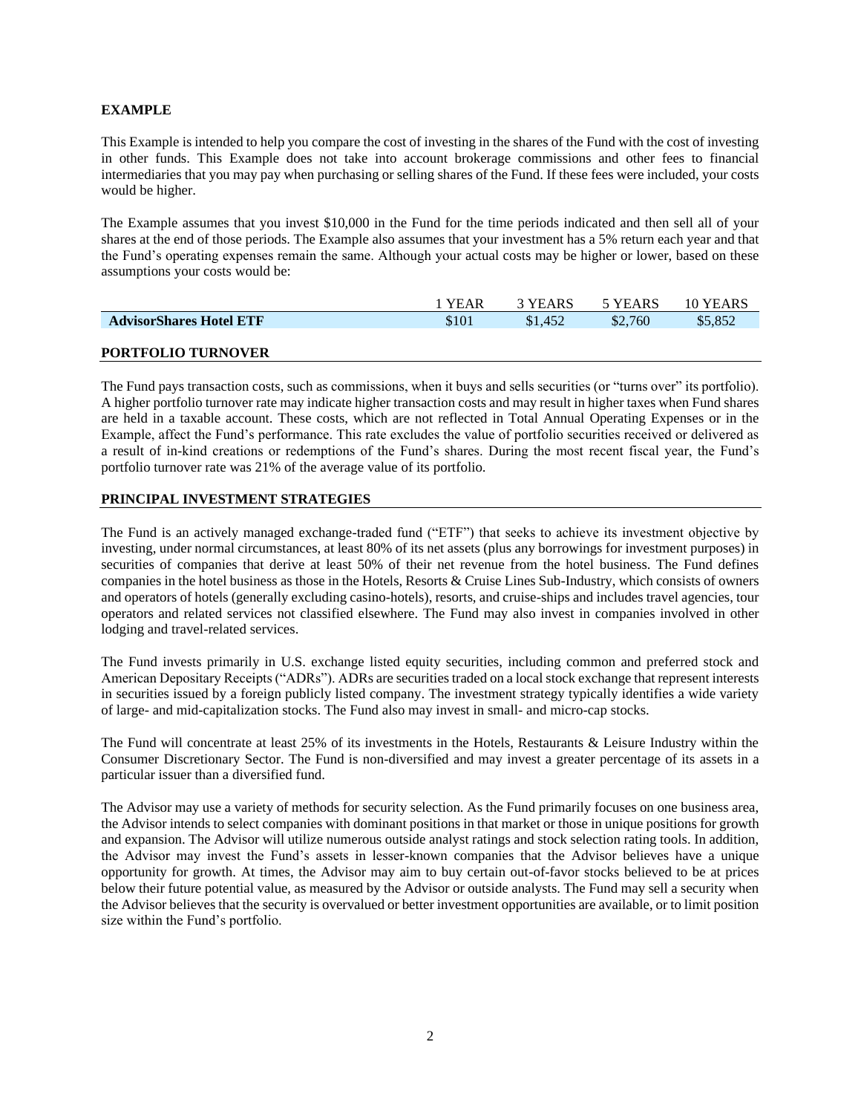# **EXAMPLE**

This Example is intended to help you compare the cost of investing in the shares of the Fund with the cost of investing in other funds. This Example does not take into account brokerage commissions and other fees to financial intermediaries that you may pay when purchasing or selling shares of the Fund. If these fees were included, your costs would be higher.

The Example assumes that you invest \$10,000 in the Fund for the time periods indicated and then sell all of your shares at the end of those periods. The Example also assumes that your investment has a 5% return each year and that the Fund's operating expenses remain the same. Although your actual costs may be higher or lower, based on these assumptions your costs would be:

|                                | <b>YEAR</b> | 3 YEARS | 5 YEARS | 10 YEARS |
|--------------------------------|-------------|---------|---------|----------|
| <b>AdvisorShares Hotel ETF</b> | \$101       | \$1.452 | \$2,760 | \$5.852  |
|                                |             |         |         |          |

# **PORTFOLIO TURNOVER**

The Fund pays transaction costs, such as commissions, when it buys and sells securities (or "turns over" its portfolio). A higher portfolio turnover rate may indicate higher transaction costs and may result in higher taxes when Fund shares are held in a taxable account. These costs, which are not reflected in Total Annual Operating Expenses or in the Example, affect the Fund's performance. This rate excludes the value of portfolio securities received or delivered as a result of in-kind creations or redemptions of the Fund's shares. During the most recent fiscal year, the Fund's portfolio turnover rate was 21% of the average value of its portfolio.

# **PRINCIPAL INVESTMENT STRATEGIES**

The Fund is an actively managed exchange-traded fund ("ETF") that seeks to achieve its investment objective by investing, under normal circumstances, at least 80% of its net assets (plus any borrowings for investment purposes) in securities of companies that derive at least 50% of their net revenue from the hotel business. The Fund defines companies in the hotel business as those in the Hotels, Resorts & Cruise Lines Sub-Industry, which consists of owners and operators of hotels (generally excluding casino-hotels), resorts, and cruise-ships and includes travel agencies, tour operators and related services not classified elsewhere. The Fund may also invest in companies involved in other lodging and travel-related services.

The Fund invests primarily in U.S. exchange listed equity securities, including common and preferred stock and American Depositary Receipts ("ADRs"). ADRs are securities traded on a local stock exchange that represent interests in securities issued by a foreign publicly listed company. The investment strategy typically identifies a wide variety of large- and mid-capitalization stocks. The Fund also may invest in small- and micro-cap stocks.

The Fund will concentrate at least 25% of its investments in the Hotels, Restaurants & Leisure Industry within the Consumer Discretionary Sector. The Fund is non-diversified and may invest a greater percentage of its assets in a particular issuer than a diversified fund.

The Advisor may use a variety of methods for security selection. As the Fund primarily focuses on one business area, the Advisor intends to select companies with dominant positions in that market or those in unique positions for growth and expansion. The Advisor will utilize numerous outside analyst ratings and stock selection rating tools. In addition, the Advisor may invest the Fund's assets in lesser-known companies that the Advisor believes have a unique opportunity for growth. At times, the Advisor may aim to buy certain out-of-favor stocks believed to be at prices below their future potential value, as measured by the Advisor or outside analysts. The Fund may sell a security when the Advisor believes that the security is overvalued or better investment opportunities are available, or to limit position size within the Fund's portfolio.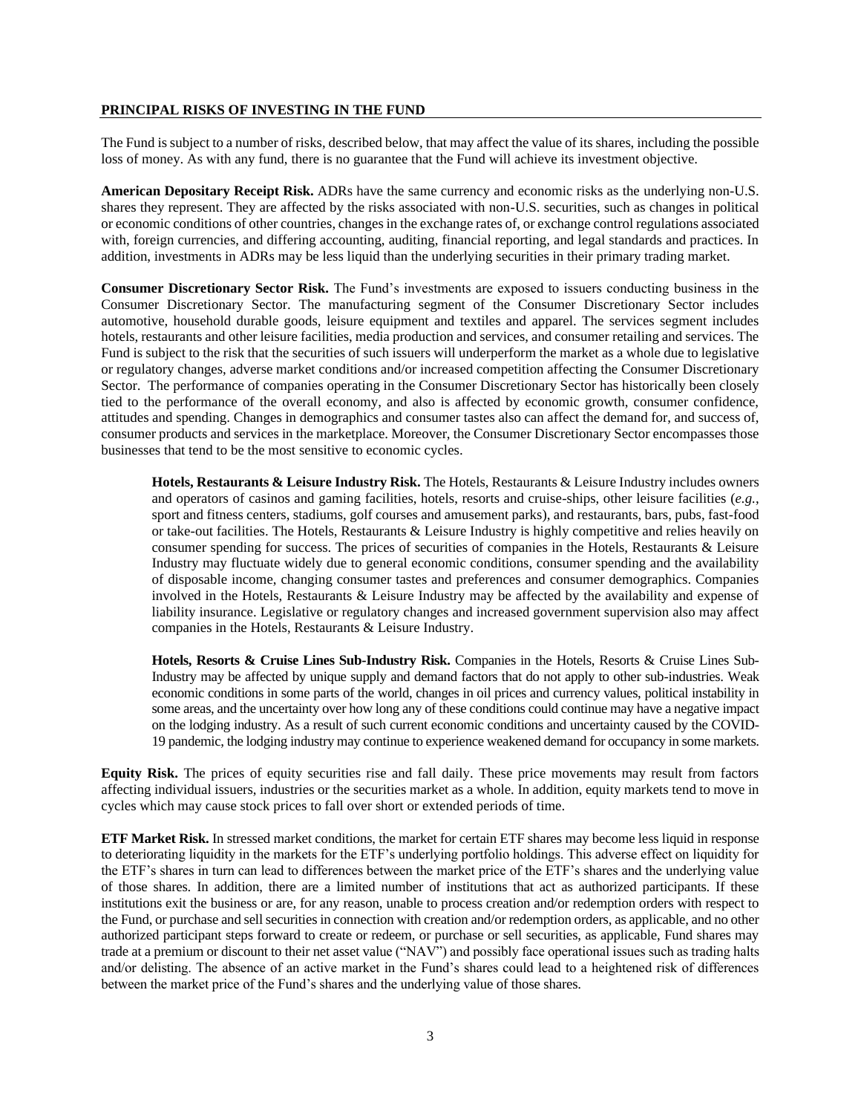#### **PRINCIPAL RISKS OF INVESTING IN THE FUND**

The Fund is subject to a number of risks, described below, that may affect the value of its shares, including the possible loss of money. As with any fund, there is no guarantee that the Fund will achieve its investment objective.

**American Depositary Receipt Risk.** ADRs have the same currency and economic risks as the underlying non-U.S. shares they represent. They are affected by the risks associated with non-U.S. securities, such as changes in political or economic conditions of other countries, changes in the exchange rates of, or exchange control regulations associated with, foreign currencies, and differing accounting, auditing, financial reporting, and legal standards and practices. In addition, investments in ADRs may be less liquid than the underlying securities in their primary trading market.

**Consumer Discretionary Sector Risk.** The Fund's investments are exposed to issuers conducting business in the Consumer Discretionary Sector. The manufacturing segment of the Consumer Discretionary Sector includes automotive, household durable goods, leisure equipment and textiles and apparel. The services segment includes hotels, restaurants and other leisure facilities, media production and services, and consumer retailing and services. The Fund is subject to the risk that the securities of such issuers will underperform the market as a whole due to legislative or regulatory changes, adverse market conditions and/or increased competition affecting the Consumer Discretionary Sector. The performance of companies operating in the Consumer Discretionary Sector has historically been closely tied to the performance of the overall economy, and also is affected by economic growth, consumer confidence, attitudes and spending. Changes in demographics and consumer tastes also can affect the demand for, and success of, consumer products and services in the marketplace. Moreover, the Consumer Discretionary Sector encompasses those businesses that tend to be the most sensitive to economic cycles.

**Hotels, Restaurants & Leisure Industry Risk.** The Hotels, Restaurants & Leisure Industry includes owners and operators of casinos and gaming facilities, hotels, resorts and cruise-ships, other leisure facilities (*e.g.*, sport and fitness centers, stadiums, golf courses and amusement parks), and restaurants, bars, pubs, fast-food or take-out facilities. The Hotels, Restaurants & Leisure Industry is highly competitive and relies heavily on consumer spending for success. The prices of securities of companies in the Hotels, Restaurants & Leisure Industry may fluctuate widely due to general economic conditions, consumer spending and the availability of disposable income, changing consumer tastes and preferences and consumer demographics. Companies involved in the Hotels, Restaurants & Leisure Industry may be affected by the availability and expense of liability insurance. Legislative or regulatory changes and increased government supervision also may affect companies in the Hotels, Restaurants & Leisure Industry.

**Hotels, Resorts & Cruise Lines Sub-Industry Risk.** Companies in the Hotels, Resorts & Cruise Lines Sub-Industry may be affected by unique supply and demand factors that do not apply to other sub-industries. Weak economic conditions in some parts of the world, changes in oil prices and currency values, political instability in some areas, and the uncertainty over how long any of these conditions could continue may have a negative impact on the lodging industry. As a result of such current economic conditions and uncertainty caused by the COVID-19 pandemic, the lodging industry may continue to experience weakened demand for occupancy in some markets.

**Equity Risk.** The prices of equity securities rise and fall daily. These price movements may result from factors affecting individual issuers, industries or the securities market as a whole. In addition, equity markets tend to move in cycles which may cause stock prices to fall over short or extended periods of time.

**ETF Market Risk.** In stressed market conditions, the market for certain ETF shares may become less liquid in response to deteriorating liquidity in the markets for the ETF's underlying portfolio holdings. This adverse effect on liquidity for the ETF's shares in turn can lead to differences between the market price of the ETF's shares and the underlying value of those shares. In addition, there are a limited number of institutions that act as authorized participants. If these institutions exit the business or are, for any reason, unable to process creation and/or redemption orders with respect to the Fund, or purchase and sell securities in connection with creation and/or redemption orders, as applicable, and no other authorized participant steps forward to create or redeem, or purchase or sell securities, as applicable, Fund shares may trade at a premium or discount to their net asset value ("NAV") and possibly face operational issues such as trading halts and/or delisting. The absence of an active market in the Fund's shares could lead to a heightened risk of differences between the market price of the Fund's shares and the underlying value of those shares.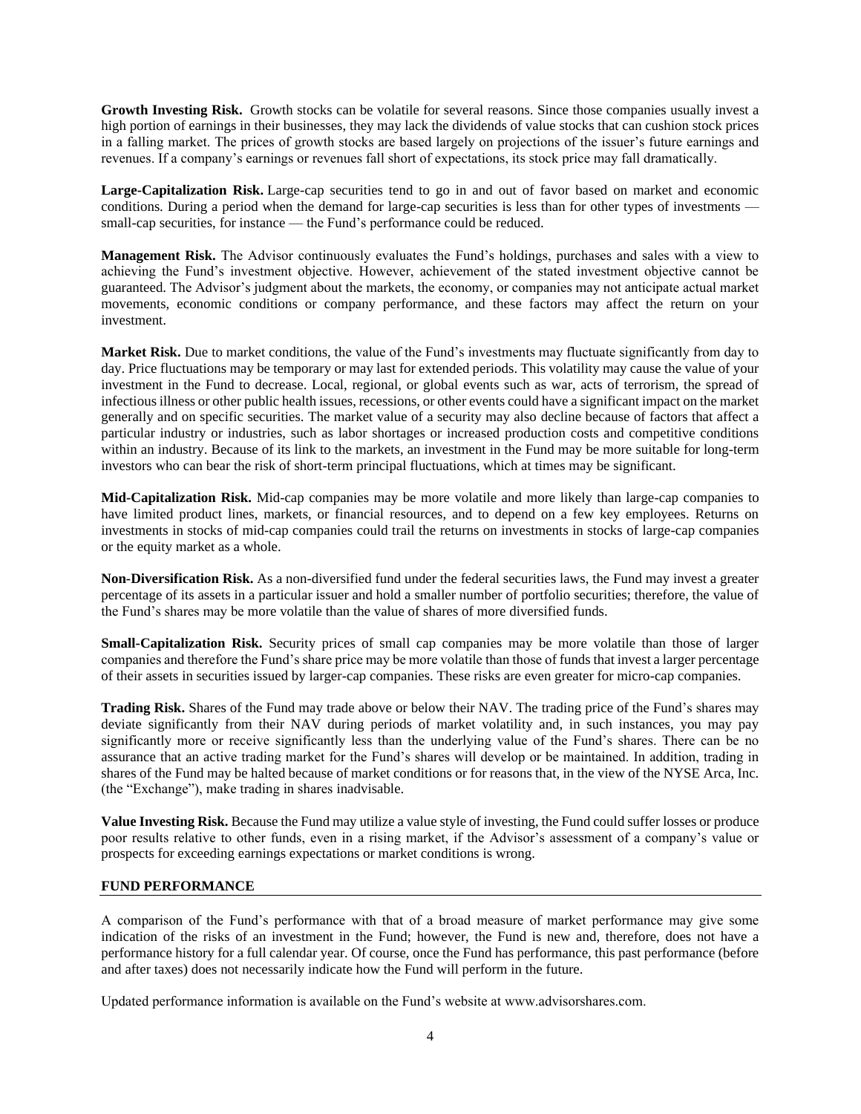Growth Investing Risk. Growth stocks can be volatile for several reasons. Since those companies usually invest a high portion of earnings in their businesses, they may lack the dividends of value stocks that can cushion stock prices in a falling market. The prices of growth stocks are based largely on projections of the issuer's future earnings and revenues. If a company's earnings or revenues fall short of expectations, its stock price may fall dramatically.

**Large-Capitalization Risk.** Large-cap securities tend to go in and out of favor based on market and economic conditions. During a period when the demand for large-cap securities is less than for other types of investments small-cap securities, for instance — the Fund's performance could be reduced.

**Management Risk.** The Advisor continuously evaluates the Fund's holdings, purchases and sales with a view to achieving the Fund's investment objective. However, achievement of the stated investment objective cannot be guaranteed. The Advisor's judgment about the markets, the economy, or companies may not anticipate actual market movements, economic conditions or company performance, and these factors may affect the return on your investment.

**Market Risk.** Due to market conditions, the value of the Fund's investments may fluctuate significantly from day to day. Price fluctuations may be temporary or may last for extended periods. This volatility may cause the value of your investment in the Fund to decrease. Local, regional, or global events such as war, acts of terrorism, the spread of infectious illness or other public health issues, recessions, or other events could have a significant impact on the market generally and on specific securities. The market value of a security may also decline because of factors that affect a particular industry or industries, such as labor shortages or increased production costs and competitive conditions within an industry. Because of its link to the markets, an investment in the Fund may be more suitable for long-term investors who can bear the risk of short-term principal fluctuations, which at times may be significant.

**Mid-Capitalization Risk.** Mid-cap companies may be more volatile and more likely than large-cap companies to have limited product lines, markets, or financial resources, and to depend on a few key employees. Returns on investments in stocks of mid-cap companies could trail the returns on investments in stocks of large-cap companies or the equity market as a whole.

**Non-Diversification Risk.** As a non-diversified fund under the federal securities laws, the Fund may invest a greater percentage of its assets in a particular issuer and hold a smaller number of portfolio securities; therefore, the value of the Fund's shares may be more volatile than the value of shares of more diversified funds.

**Small-Capitalization Risk.** Security prices of small cap companies may be more volatile than those of larger companies and therefore the Fund's share price may be more volatile than those of funds that invest a larger percentage of their assets in securities issued by larger-cap companies. These risks are even greater for micro-cap companies.

**Trading Risk.** Shares of the Fund may trade above or below their NAV. The trading price of the Fund's shares may deviate significantly from their NAV during periods of market volatility and, in such instances, you may pay significantly more or receive significantly less than the underlying value of the Fund's shares. There can be no assurance that an active trading market for the Fund's shares will develop or be maintained. In addition, trading in shares of the Fund may be halted because of market conditions or for reasons that, in the view of the NYSE Arca, Inc. (the "Exchange"), make trading in shares inadvisable.

**Value Investing Risk.** Because the Fund may utilize a value style of investing, the Fund could suffer losses or produce poor results relative to other funds, even in a rising market, if the Advisor's assessment of a company's value or prospects for exceeding earnings expectations or market conditions is wrong.

# **FUND PERFORMANCE**

A comparison of the Fund's performance with that of a broad measure of market performance may give some indication of the risks of an investment in the Fund; however, the Fund is new and, therefore, does not have a performance history for a full calendar year. Of course, once the Fund has performance, this past performance (before and after taxes) does not necessarily indicate how the Fund will perform in the future.

Updated performance information is available on the Fund's website at www.advisorshares.com.